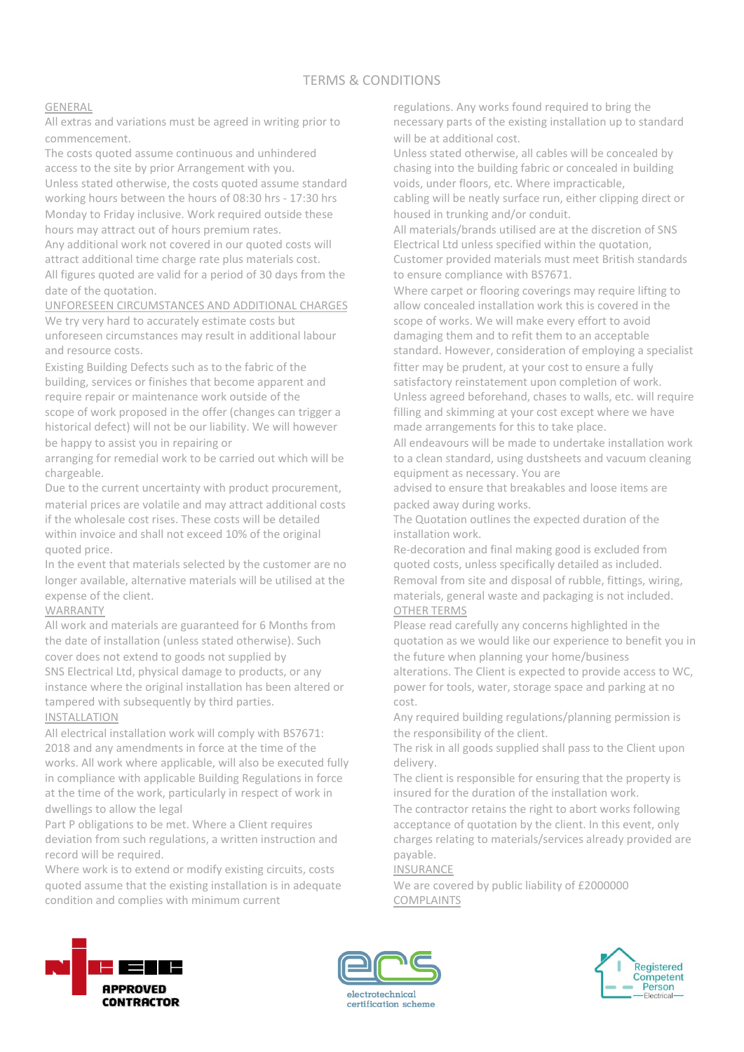# GENERAL

All extras and variations must be agreed in writing prior to commencement.

The costs quoted assume continuous and unhindered access to the site by prior Arrangement with you. Unless stated otherwise, the costs quoted assume standard working hours between the hours of 08:30 hrs - 17:30 hrs Monday to Friday inclusive. Work required outside these hours may attract out of hours premium rates.

Any additional work not covered in our quoted costs will attract additional time charge rate plus materials cost. All figures quoted are valid for a period of 30 days from the date of the quotation.

UNFORESEEN CIRCUMSTANCES AND ADDITIONAL CHARGES We try very hard to accurately estimate costs but unforeseen circumstances may result in additional labour and resource costs.

Existing Building Defects such as to the fabric of the building, services or finishes that become apparent and require repair or maintenance work outside of the scope of work proposed in the offer (changes can trigger a historical defect) will not be our liability. We will however be happy to assist you in repairing or

arranging for remedial work to be carried out which will be chargeable.

Due to the current uncertainty with product procurement, material prices are volatile and may attract additional costs if the wholesale cost rises. These costs will be detailed within invoice and shall not exceed 10% of the original quoted price.

In the event that materials selected by the customer are no longer available, alternative materials will be utilised at the expense of the client.

# WARRANTY

All work and materials are guaranteed for 6 Months from the date of installation (unless stated otherwise). Such cover does not extend to goods not supplied by SNS Electrical Ltd, physical damage to products, or any instance where the original installation has been altered or tampered with subsequently by third parties. INSTALLATION

All electrical installation work will comply with BS7671: 2018 and any amendments in force at the time of the works. All work where applicable, will also be executed fully in compliance with applicable Building Regulations in force at the time of the work, particularly in respect of work in dwellings to allow the legal

Part P obligations to be met. Where a Client requires deviation from such regulations, a written instruction and record will be required.

Where work is to extend or modify existing circuits, costs quoted assume that the existing installation is in adequate condition and complies with minimum current

regulations. Any works found required to bring the necessary parts of the existing installation up to standard will be at additional cost.

Unless stated otherwise, all cables will be concealed by chasing into the building fabric or concealed in building voids, under floors, etc. Where impracticable, cabling will be neatly surface run, either clipping direct or housed in trunking and/or conduit.

All materials/brands utilised are at the discretion of SNS Electrical Ltd unless specified within the quotation, Customer provided materials must meet British standards to ensure compliance with BS7671.

Where carpet or flooring coverings may require lifting to allow concealed installation work this is covered in the scope of works. We will make every effort to avoid damaging them and to refit them to an acceptable standard. However, consideration of employing a specialist fitter may be prudent, at your cost to ensure a fully satisfactory reinstatement upon completion of work. Unless agreed beforehand, chases to walls, etc. will require filling and skimming at your cost except where we have made arrangements for this to take place.

All endeavours will be made to undertake installation work to a clean standard, using dustsheets and vacuum cleaning equipment as necessary. You are

advised to ensure that breakables and loose items are packed away during works.

The Quotation outlines the expected duration of the installation work

Re-decoration and final making good is excluded from quoted costs, unless specifically detailed as included. Removal from site and disposal of rubble, fittings, wiring, materials, general waste and packaging is not included. OTHER TERMS

Please read carefully any concerns highlighted in the quotation as we would like our experience to benefit you in the future when planning your home/business alterations. The Client is expected to provide access to WC, power for tools, water, storage space and parking at no cost.

Any required building regulations/planning permission is the responsibility of the client.

The risk in all goods supplied shall pass to the Client upon delivery.

The client is responsible for ensuring that the property is insured for the duration of the installation work.

The contractor retains the right to abort works following acceptance of quotation by the client. In this event, only charges relating to materials/services already provided are payable.

## INSURANCE

We are covered by public liability of £2000000 COMPLAINTS